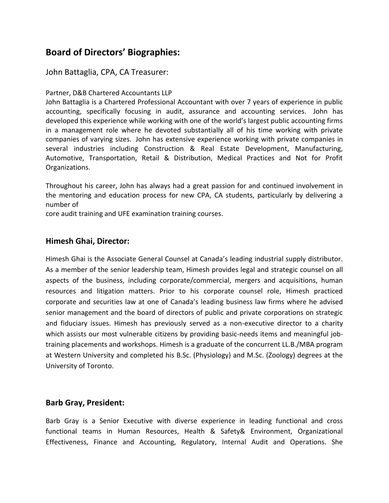# **Board of Directors' Biographies:**

# John Battaglia, CPA, CA Treasurer:

#### Partner, D&B Chartered Accountants LLP

John Battaglia is a Chartered Professional Accountant with over 7 years of experience in public accounting, specifically focusing in audit, assurance and accounting services. John has developed this experience while working with one of the world's largest public accounting firms in a management role where he devoted substantially all of his time working with private companies of varying sizes. John has extensive experience working with private companies in several industries including Construction & Real Estate Development, Manufacturing, Automotive, Transportation, Retail & Distribution, Medical Practices and Not for Profit Organizations.

Throughout his career, John has always had a great passion for and continued involvement in the mentoring and education process for new CPA, CA students, particularly by delivering a number of

core audit training and UFE examination training courses.

## **Himesh Ghai, Director:**

Himesh Ghai is the Associate General Counsel at Canada's leading industrial supply distributor. As a member of the senior leadership team, Himesh provides legal and strategic counsel on all aspects of the business, including corporate/commercial, mergers and acquisitions, human resources and litigation matters. Prior to his corporate counsel role, Himesh practiced corporate and securities law at one of Canada's leading business law firms where he advised senior management and the board of directors of public and private corporations on strategic and fiduciary issues. Himesh has previously served as a non-executive director to a charity which assists our most vulnerable citizens by providing basic-needs items and meaningful jobtraining placements and workshops. Himesh is a graduate of the concurrent LL.B./MBA program at Western University and completed his B.Sc. (Physiology) and M.Sc. (Zoology) degrees at the University of Toronto.

#### **Barb Gray, President:**

Barb Gray is a Senior Executive with diverse experience in leading functional and cross functional teams in Human Resources, Health & Safety& Environment, Organizational Effectiveness, Finance and Accounting, Regulatory, Internal Audit and Operations. She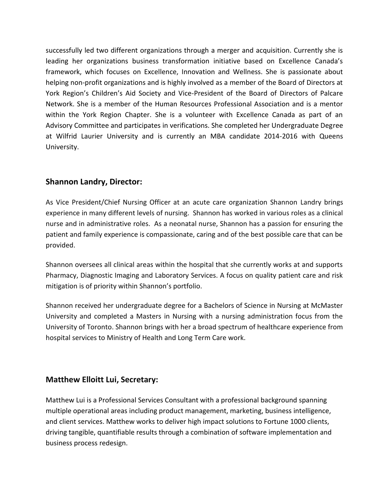successfully led two different organizations through a merger and acquisition. Currently she is leading her organizations business transformation initiative based on Excellence Canada's framework, which focuses on Excellence, Innovation and Wellness. She is passionate about helping non-profit organizations and is highly involved as a member of the Board of Directors at York Region's Children's Aid Society and Vice-President of the Board of Directors of Palcare Network. She is a member of the Human Resources Professional Association and is a mentor within the York Region Chapter. She is a volunteer with Excellence Canada as part of an Advisory Committee and participates in verifications. She completed her Undergraduate Degree at Wilfrid Laurier University and is currently an MBA candidate 2014-2016 with Queens University.

# **Shannon Landry, Director:**

As Vice President/Chief Nursing Officer at an acute care organization Shannon Landry brings experience in many different levels of nursing. Shannon has worked in various roles as a clinical nurse and in administrative roles. As a neonatal nurse, Shannon has a passion for ensuring the patient and family experience is compassionate, caring and of the best possible care that can be provided.

Shannon oversees all clinical areas within the hospital that she currently works at and supports Pharmacy, Diagnostic Imaging and Laboratory Services. A focus on quality patient care and risk mitigation is of priority within Shannon's portfolio.

Shannon received her undergraduate degree for a Bachelors of Science in Nursing at McMaster University and completed a Masters in Nursing with a nursing administration focus from the University of Toronto. Shannon brings with her a broad spectrum of healthcare experience from hospital services to Ministry of Health and Long Term Care work.

# **Matthew Elloitt Lui, Secretary:**

Matthew Lui is a Professional Services Consultant with a professional background spanning multiple operational areas including product management, marketing, business intelligence, and client services. Matthew works to deliver high impact solutions to Fortune 1000 clients, driving tangible, quantifiable results through a combination of software implementation and business process redesign.